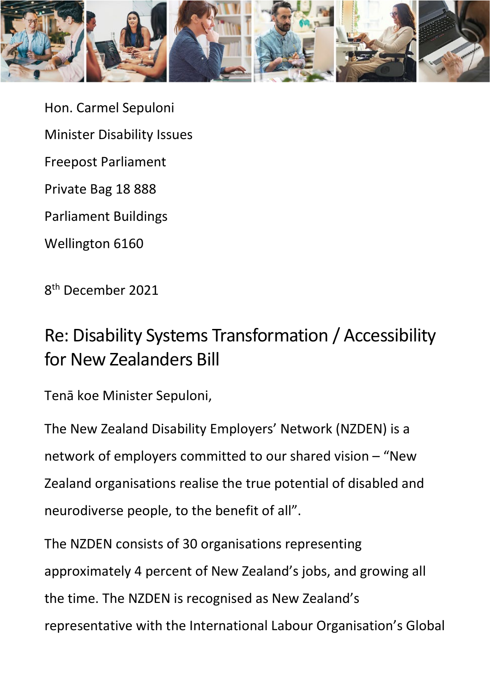

Hon. Carmel Sepuloni Minister Disability Issues Freepost Parliament Private Bag 18 888 Parliament Buildings Wellington 6160

8th December 2021

### Re: Disability Systems Transformation / Accessibility for New Zealanders Bill

Tenā koe Minister Sepuloni,

The New Zealand Disability Employers' Network (NZDEN) is a network of employers committed to our shared vision – "New Zealand organisations realise the true potential of disabled and neurodiverse people, to the benefit of all".

The NZDEN consists of 30 organisations representing approximately 4 percent of New Zealand's jobs, and growing all the time. The NZDEN is recognised as New Zealand's representative with the International Labour Organisation's Global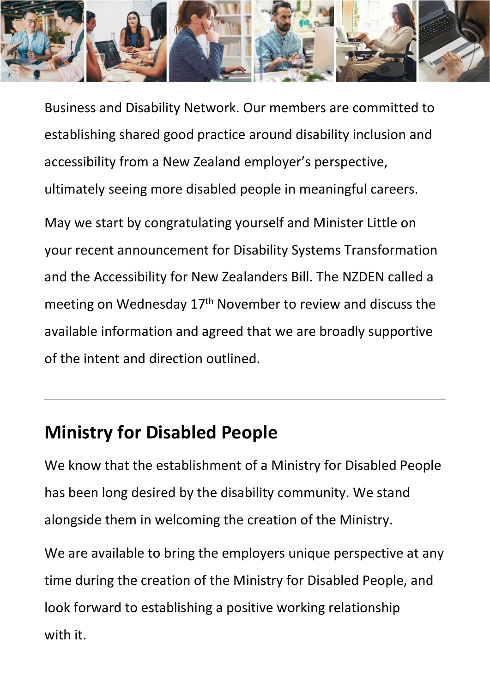

Business and Disability Network. Our members are committed to establishing shared good practice around disability inclusion and accessibility from a New Zealand employer's perspective, ultimately seeing more disabled people in meaningful careers.

May we start by congratulating yourself and Minister Little on your recent announcement for Disability Systems Transformation and the Accessibility for New Zealanders Bill. The NZDEN called a meeting on Wednesday 17<sup>th</sup> November to review and discuss the available information and agreed that we are broadly supportive of the intent and direction outlined.

### **Ministry for Disabled People**

We know that the establishment of a Ministry for Disabled People has been long desired by the disability community. We stand alongside them in welcoming the creation of the Ministry.

We are available to bring the employers unique perspective at any time during the creation of the Ministry for Disabled People, and look forward to establishing a positive working relationship with it.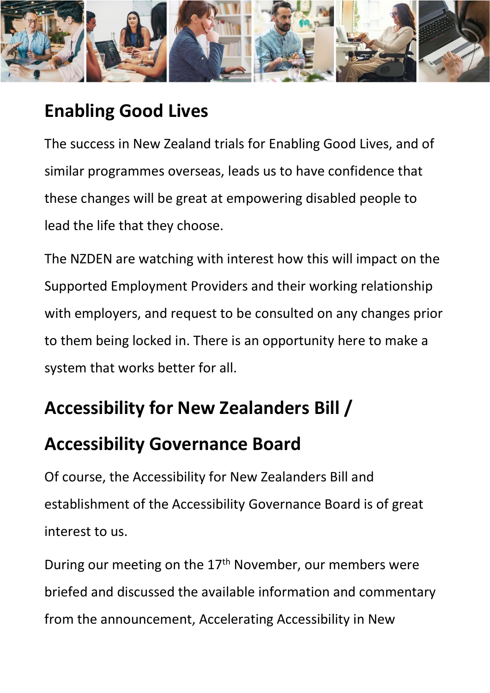

## **Enabling Good Lives**

The success in New Zealand trials for Enabling Good Lives, and of similar programmes overseas, leads us to have confidence that these changes will be great at empowering disabled people to lead the life that they choose.

The NZDEN are watching with interest how this will impact on the Supported Employment Providers and their working relationship with employers, and request to be consulted on any changes prior to them being locked in. There is an opportunity here to make a system that works better for all.

# **Accessibility for New Zealanders Bill /**

### **Accessibility Governance Board**

Of course, the Accessibility for New Zealanders Bill and establishment of the Accessibility Governance Board is of great interest to us.

During our meeting on the 17<sup>th</sup> November, our members were briefed and discussed the available information and commentary from the announcement, Accelerating Accessibility in New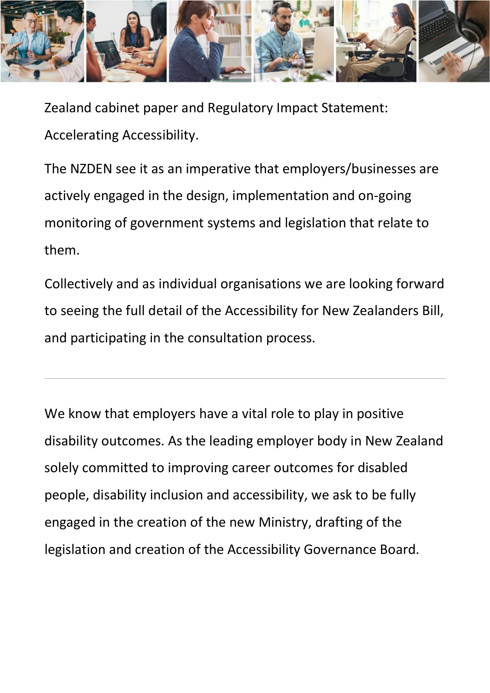

Zealand cabinet paper and Regulatory Impact Statement: Accelerating Accessibility.

The NZDEN see it as an imperative that employers/businesses are actively engaged in the design, implementation and on-going monitoring of government systems and legislation that relate to them.

Collectively and as individual organisations we are looking forward to seeing the full detail of the Accessibility for New Zealanders Bill, and participating in the consultation process.

We know that employers have a vital role to play in positive disability outcomes. As the leading employer body in New Zealand solely committed to improving career outcomes for disabled people, disability inclusion and accessibility, we ask to be fully engaged in the creation of the new Ministry, drafting of the legislation and creation of the Accessibility Governance Board.